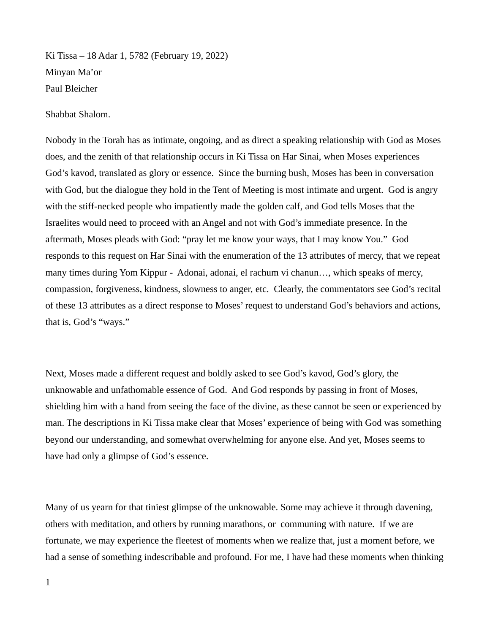Ki Tissa – 18 Adar 1, 5782 (February 19, 2022) Minyan Ma'or Paul Bleicher

Shabbat Shalom.

Nobody in the Torah has as intimate, ongoing, and as direct a speaking relationship with God as Moses does, and the zenith of that relationship occurs in Ki Tissa on Har Sinai, when Moses experiences God's kavod, translated as glory or essence. Since the burning bush, Moses has been in conversation with God, but the dialogue they hold in the Tent of Meeting is most intimate and urgent. God is angry with the stiff-necked people who impatiently made the golden calf, and God tells Moses that the Israelites would need to proceed with an Angel and not with God's immediate presence. In the aftermath, Moses pleads with God: "pray let me know your ways, that I may know You." God responds to this request on Har Sinai with the enumeration of the 13 attributes of mercy, that we repeat many times during Yom Kippur - Adonai, adonai, el rachum vi chanun…, which speaks of mercy, compassion, forgiveness, kindness, slowness to anger, etc. Clearly, the commentators see God's recital of these 13 attributes as a direct response to Moses' request to understand God's behaviors and actions, that is, God's "ways."

Next, Moses made a different request and boldly asked to see God's kavod, God's glory, the unknowable and unfathomable essence of God. And God responds by passing in front of Moses, shielding him with a hand from seeing the face of the divine, as these cannot be seen or experienced by man. The descriptions in Ki Tissa make clear that Moses' experience of being with God was something beyond our understanding, and somewhat overwhelming for anyone else. And yet, Moses seems to have had only a glimpse of God's essence.

Many of us yearn for that tiniest glimpse of the unknowable. Some may achieve it through davening, others with meditation, and others by running marathons, or communing with nature. If we are fortunate, we may experience the fleetest of moments when we realize that, just a moment before, we had a sense of something indescribable and profound. For me, I have had these moments when thinking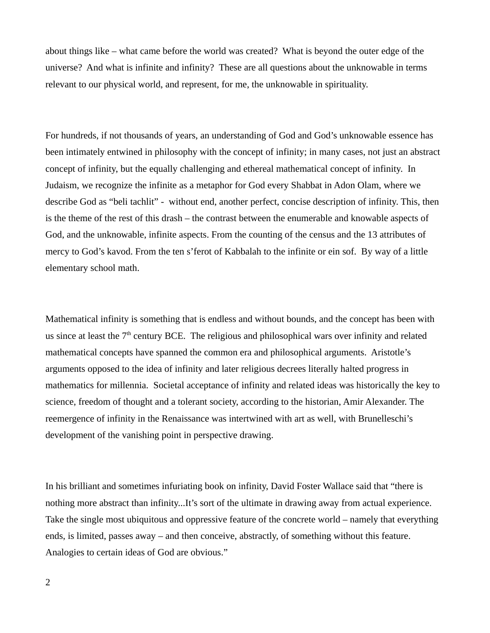about things like – what came before the world was created? What is beyond the outer edge of the universe? And what is infinite and infinity? These are all questions about the unknowable in terms relevant to our physical world, and represent, for me, the unknowable in spirituality.

For hundreds, if not thousands of years, an understanding of God and God's unknowable essence has been intimately entwined in philosophy with the concept of infinity; in many cases, not just an abstract concept of infinity, but the equally challenging and ethereal mathematical concept of infinity. In Judaism, we recognize the infinite as a metaphor for God every Shabbat in Adon Olam, where we describe God as "beli tachlit" - without end, another perfect, concise description of infinity. This, then is the theme of the rest of this drash – the contrast between the enumerable and knowable aspects of God, and the unknowable, infinite aspects. From the counting of the census and the 13 attributes of mercy to God's kavod. From the ten s'ferot of Kabbalah to the infinite or ein sof. By way of a little elementary school math.

Mathematical infinity is something that is endless and without bounds, and the concept has been with us since at least the  $7<sup>th</sup>$  century BCE. The religious and philosophical wars over infinity and related mathematical concepts have spanned the common era and philosophical arguments. Aristotle's arguments opposed to the idea of infinity and later religious decrees literally halted progress in mathematics for millennia. Societal acceptance of infinity and related ideas was historically the key to science, freedom of thought and a tolerant society, according to the historian, Amir Alexander. The reemergence of infinity in the Renaissance was intertwined with art as well, with Brunelleschi's development of the vanishing point in perspective drawing.

In his brilliant and sometimes infuriating book on infinity, David Foster Wallace said that "there is nothing more abstract than infinity...It's sort of the ultimate in drawing away from actual experience. Take the single most ubiquitous and oppressive feature of the concrete world – namely that everything ends, is limited, passes away – and then conceive, abstractly, of something without this feature. Analogies to certain ideas of God are obvious."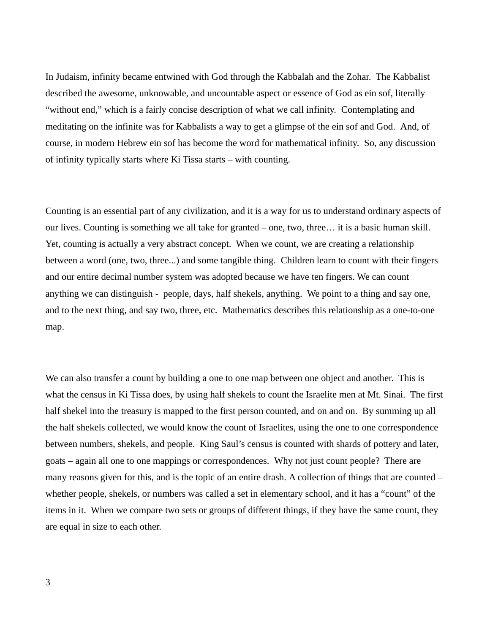In Judaism, infinity became entwined with God through the Kabbalah and the Zohar. The Kabbalist described the awesome, unknowable, and uncountable aspect or essence of God as ein sof, literally "without end," which is a fairly concise description of what we call infinity. Contemplating and meditating on the infinite was for Kabbalists a way to get a glimpse of the ein sof and God. And, of course, in modern Hebrew ein sof has become the word for mathematical infinity. So, any discussion of infinity typically starts where Ki Tissa starts – with counting.

Counting is an essential part of any civilization, and it is a way for us to understand ordinary aspects of our lives. Counting is something we all take for granted – one, two, three… it is a basic human skill. Yet, counting is actually a very abstract concept. When we count, we are creating a relationship between a word (one, two, three...) and some tangible thing. Children learn to count with their fingers and our entire decimal number system was adopted because we have ten fingers. We can count anything we can distinguish - people, days, half shekels, anything. We point to a thing and say one, and to the next thing, and say two, three, etc. Mathematics describes this relationship as a one-to-one map.

We can also transfer a count by building a one to one map between one object and another. This is what the census in Ki Tissa does, by using half shekels to count the Israelite men at Mt. Sinai. The first half shekel into the treasury is mapped to the first person counted, and on and on. By summing up all the half shekels collected, we would know the count of Israelites, using the one to one correspondence between numbers, shekels, and people. King Saul's census is counted with shards of pottery and later, goats – again all one to one mappings or correspondences. Why not just count people? There are many reasons given for this, and is the topic of an entire drash. A collection of things that are counted – whether people, shekels, or numbers was called a set in elementary school, and it has a "count" of the items in it. When we compare two sets or groups of different things, if they have the same count, they are equal in size to each other.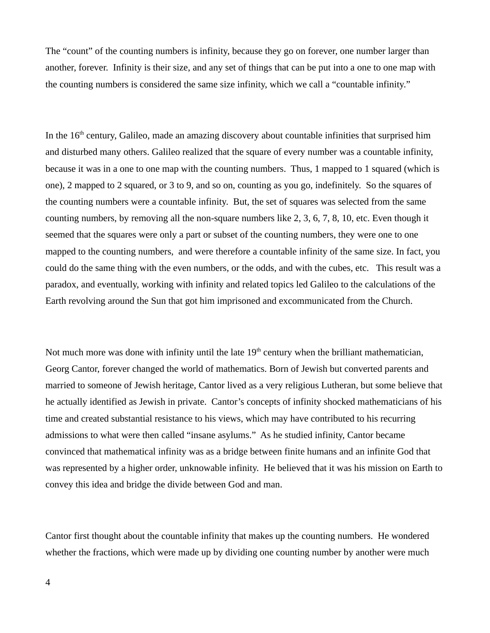The "count" of the counting numbers is infinity, because they go on forever, one number larger than another, forever. Infinity is their size, and any set of things that can be put into a one to one map with the counting numbers is considered the same size infinity, which we call a "countable infinity."

In the  $16<sup>th</sup>$  century, Galileo, made an amazing discovery about countable infinities that surprised him and disturbed many others. Galileo realized that the square of every number was a countable infinity, because it was in a one to one map with the counting numbers. Thus, 1 mapped to 1 squared (which is one), 2 mapped to 2 squared, or 3 to 9, and so on, counting as you go, indefinitely. So the squares of the counting numbers were a countable infinity. But, the set of squares was selected from the same counting numbers, by removing all the non-square numbers like 2, 3, 6, 7, 8, 10, etc. Even though it seemed that the squares were only a part or subset of the counting numbers, they were one to one mapped to the counting numbers, and were therefore a countable infinity of the same size. In fact, you could do the same thing with the even numbers, or the odds, and with the cubes, etc. This result was a paradox, and eventually, working with infinity and related topics led Galileo to the calculations of the Earth revolving around the Sun that got him imprisoned and excommunicated from the Church.

Not much more was done with infinity until the late  $19<sup>th</sup>$  century when the brilliant mathematician, Georg Cantor, forever changed the world of mathematics. Born of Jewish but converted parents and married to someone of Jewish heritage, Cantor lived as a very religious Lutheran, but some believe that he actually identified as Jewish in private. Cantor's concepts of infinity shocked mathematicians of his time and created substantial resistance to his views, which may have contributed to his recurring admissions to what were then called "insane asylums." As he studied infinity, Cantor became convinced that mathematical infinity was as a bridge between finite humans and an infinite God that was represented by a higher order, unknowable infinity. He believed that it was his mission on Earth to convey this idea and bridge the divide between God and man.

Cantor first thought about the countable infinity that makes up the counting numbers. He wondered whether the fractions, which were made up by dividing one counting number by another were much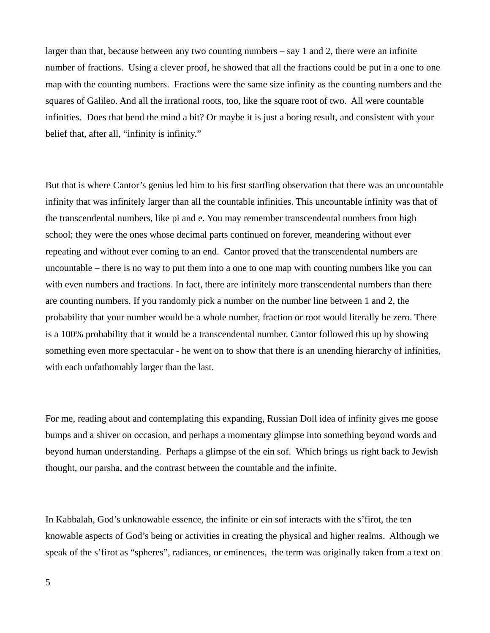larger than that, because between any two counting numbers – say 1 and 2, there were an infinite number of fractions. Using a clever proof, he showed that all the fractions could be put in a one to one map with the counting numbers. Fractions were the same size infinity as the counting numbers and the squares of Galileo. And all the irrational roots, too, like the square root of two. All were countable infinities. Does that bend the mind a bit? Or maybe it is just a boring result, and consistent with your belief that, after all, "infinity is infinity."

But that is where Cantor's genius led him to his first startling observation that there was an uncountable infinity that was infinitely larger than all the countable infinities. This uncountable infinity was that of the transcendental numbers, like pi and e. You may remember transcendental numbers from high school; they were the ones whose decimal parts continued on forever, meandering without ever repeating and without ever coming to an end. Cantor proved that the transcendental numbers are uncountable – there is no way to put them into a one to one map with counting numbers like you can with even numbers and fractions. In fact, there are infinitely more transcendental numbers than there are counting numbers. If you randomly pick a number on the number line between 1 and 2, the probability that your number would be a whole number, fraction or root would literally be zero. There is a 100% probability that it would be a transcendental number. Cantor followed this up by showing something even more spectacular - he went on to show that there is an unending hierarchy of infinities, with each unfathomably larger than the last.

For me, reading about and contemplating this expanding, Russian Doll idea of infinity gives me goose bumps and a shiver on occasion, and perhaps a momentary glimpse into something beyond words and beyond human understanding. Perhaps a glimpse of the ein sof. Which brings us right back to Jewish thought, our parsha, and the contrast between the countable and the infinite.

In Kabbalah, God's unknowable essence, the infinite or ein sof interacts with the s'firot, the ten knowable aspects of God's being or activities in creating the physical and higher realms. Although we speak of the s'firot as "spheres", radiances, or eminences, the term was originally taken from a text on